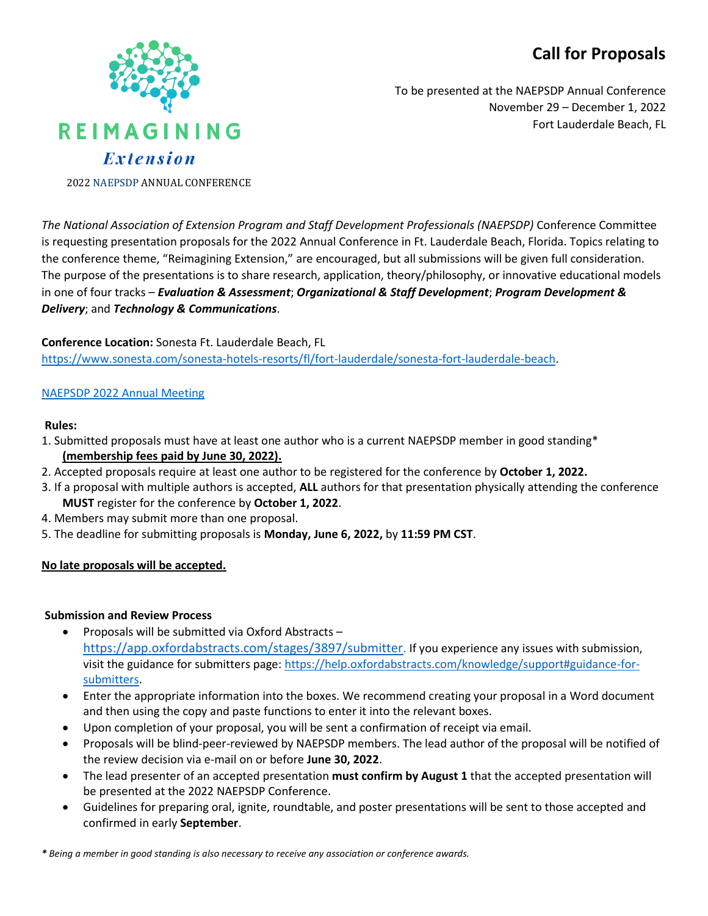# **Call for Proposals**



To be presented at the NAEPSDP Annual Conference November 29 – December 1, 2022 Fort Lauderdale Beach, FL

2022 NAEPSDP ANNUAL CONFERENCE

*The National Association of Extension Program and Staff Development Professionals (NAEPSDP)* Conference Committee is requesting presentation proposals for the 2022 Annual Conference in Ft. Lauderdale Beach, Florida. Topics relating to the conference theme, "Reimagining Extension," are encouraged, but all submissions will be given full consideration. The purpose of the presentations is to share research, application, theory/philosophy, or innovative educational models in one of four tracks – *Evaluation & Assessment*; *Organizational & Staff Development*; *Program Development & Delivery*; and *Technology & Communications*.

#### **Conference Location:** Sonesta Ft. Lauderdale Beach, FL

[https://www.sonesta.com/sonesta-hotels-resorts/fl/fort-lauderdale/sonesta-fort-lauderdale-beach.](https://www.sonesta.com/sonesta-hotels-resorts/fl/fort-lauderdale/sonesta-fort-lauderdale-beach)

# [NAEPSDP 2022 Annual Meeting](https://urldefense.proofpoint.com/v2/url?u=https-3A__be.synxis.com_-3FHotel-3D62015-26Chain-3D5157-26arrive-3D11_28_2022-26depart-3D12_1_2022-26adult-3D1-26child-3D0-26group-3DNAEPSD11282022&d=DwMFAw&c=sJ6xIWYx-zLMB3EPkvcnVg&r=rRdP6PCsU6it4mETIY1R2ywMECyIvUbJv-GZhi_Zwq8&m=tBUiUZQsdbk-RbWf1d7rVxeBWiqsE4-x6PuQTaiO5vXkWmVZ40P7_wJ-gxMUl9LC&s=JS9LJ1AVmMy5pksptHxmoAAd396g27dY_J98icUSiXI&e=)

#### **Rules:**

- 1. Submitted proposals must have at least one author who is a current NAEPSDP member in good standing\* **(membership fees paid by June 30, 2022).**
- 2. Accepted proposals require at least one author to be registered for the conference by **October 1, 2022.**
- 3. If a proposal with multiple authors is accepted, **ALL** authors for that presentation physically attending the conference **MUST** register for the conference by **October 1, 2022**.
- 4. Members may submit more than one proposal.
- 5. The deadline for submitting proposals is **Monday, June 6, 2022,** by **11:59 PM CST**.

#### **No late proposals will be accepted.**

#### **Submission and Review Process**

- Proposals will be submitted via Oxford Abstracts <https://app.oxfordabstracts.com/stages/3897/submitter>. If you experience any issues with submission, visit the guidance for submitters page: [https://help.oxfordabstracts.com/knowledge/support#guidance-for](https://help.oxfordabstracts.com/knowledge/support#guidance-for-submitters)[submitters.](https://help.oxfordabstracts.com/knowledge/support#guidance-for-submitters)
- Enter the appropriate information into the boxes. We recommend creating your proposal in a Word document and then using the copy and paste functions to enter it into the relevant boxes.
- Upon completion of your proposal, you will be sent a confirmation of receipt via email.
- Proposals will be blind-peer-reviewed by NAEPSDP members. The lead author of the proposal will be notified of the review decision via e-mail on or before **June 30, 2022**.
- The lead presenter of an accepted presentation **must confirm by August 1** that the accepted presentation will be presented at the 2022 NAEPSDP Conference.
- Guidelines for preparing oral, ignite, roundtable, and poster presentations will be sent to those accepted and confirmed in early **September**.

*\* Being a member in good standing is also necessary to receive any association or conference awards.*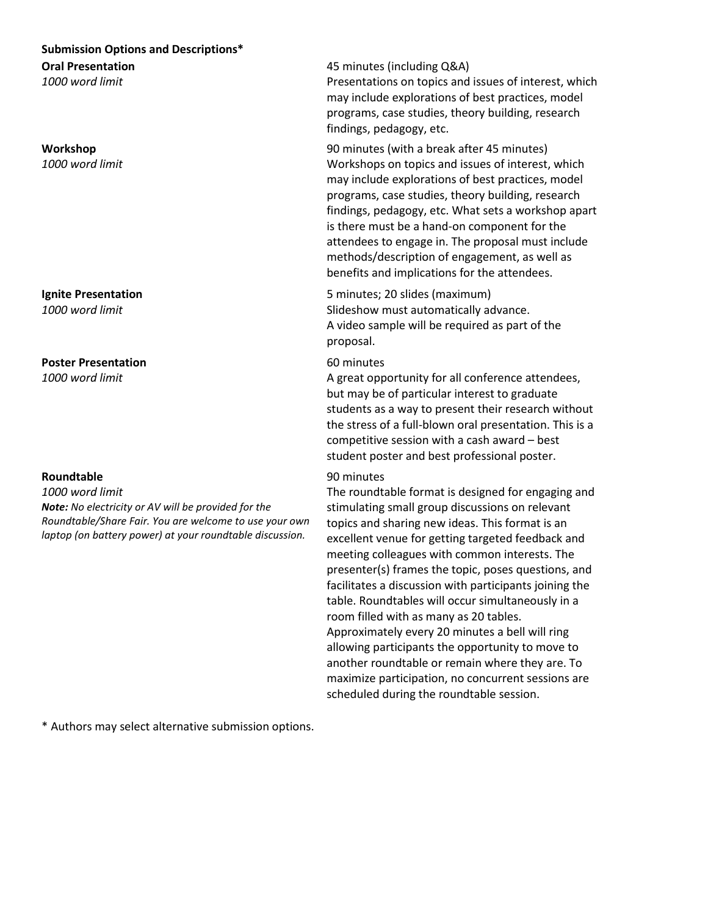# **Submission Options and Descriptions\* Oral Presentation**

*1000 word limit* 

#### **Workshop** *1000 word limit*

**Ignite Presentation**  *1000 word limit*

# **Poster Presentation**

*1000 word limit*

#### **Roundtable**

*1000 word limit* 

*Note: No electricity or AV will be provided for the Roundtable/Share Fair. You are welcome to use your own laptop (on battery power) at your roundtable discussion.* 

45 minutes (including Q&A) Presentations on topics and issues of interest, which may include explorations of best practices, model programs, case studies, theory building, research findings, pedagogy, etc.

90 minutes (with a break after 45 minutes) Workshops on topics and issues of interest, which may include explorations of best practices, model programs, case studies, theory building, research findings, pedagogy, etc. What sets a workshop apart is there must be a hand-on component for the attendees to engage in. The proposal must include methods/description of engagement, as well as benefits and implications for the attendees.

5 minutes; 20 slides (maximum) Slideshow must automatically advance. A video sample will be required as part of the proposal.

### 60 minutes

A great opportunity for all conference attendees, but may be of particular interest to graduate students as a way to present their research without the stress of a full-blown oral presentation. This is a competitive session with a cash award – best student poster and best professional poster.

# 90 minutes

The roundtable format is designed for engaging and stimulating small group discussions on relevant topics and sharing new ideas. This format is an excellent venue for getting targeted feedback and meeting colleagues with common interests. The presenter(s) frames the topic, poses questions, and facilitates a discussion with participants joining the table. Roundtables will occur simultaneously in a room filled with as many as 20 tables. Approximately every 20 minutes a bell will ring allowing participants the opportunity to move to another roundtable or remain where they are. To maximize participation, no concurrent sessions are scheduled during the roundtable session.

\* Authors may select alternative submission options.